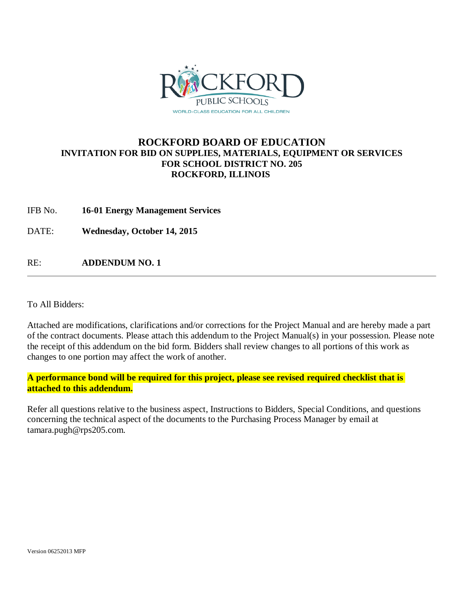

### **ROCKFORD BOARD OF EDUCATION INVITATION FOR BID ON SUPPLIES, MATERIALS, EQUIPMENT OR SERVICES FOR SCHOOL DISTRICT NO. 205 ROCKFORD, ILLINOIS**

IFB No. **16-01 Energy Management Services**

DATE: **Wednesday, October 14, 2015**

RE: **ADDENDUM NO. 1**

To All Bidders:

Attached are modifications, clarifications and/or corrections for the Project Manual and are hereby made a part of the contract documents. Please attach this addendum to the Project Manual(s) in your possession. Please note the receipt of this addendum on the bid form. Bidders shall review changes to all portions of this work as changes to one portion may affect the work of another.

**A performance bond will be required for this project, please see revised required checklist that is attached to this addendum.**

Refer all questions relative to the business aspect, Instructions to Bidders, Special Conditions, and questions concerning the technical aspect of the documents to the Purchasing Process Manager by email at tamara.pugh@rps205.com.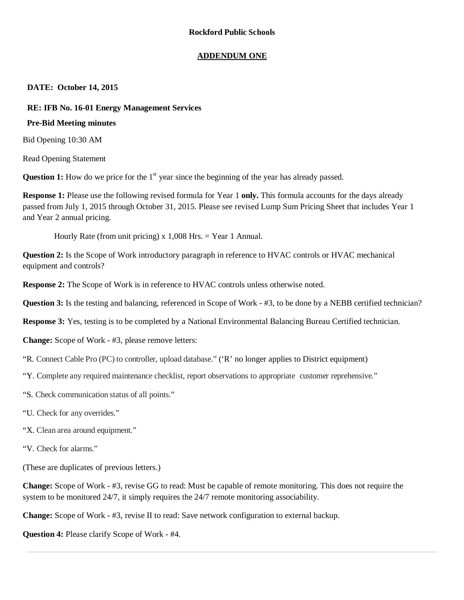### **ADDENDUM ONE**

**DATE: October 14, 2015**

### **RE: IFB No. 16-01 Energy Management Services**

### **Pre-Bid Meeting minutes**

Bid Opening 10:30 AM

Read Opening Statement

**Question 1:** How do we price for the 1<sup>st</sup> year since the beginning of the year has already passed.

**Response 1:** Please use the following revised formula for Year 1 **only.** This formula accounts for the days already passed from July 1, 2015 through October 31, 2015. Please see revised Lump Sum Pricing Sheet that includes Year 1 and Year 2 annual pricing.

Hourly Rate (from unit pricing) x  $1,008$  Hrs. = Year 1 Annual.

**Question 2:** Is the Scope of Work introductory paragraph in reference to HVAC controls or HVAC mechanical equipment and controls?

**Response 2:** The Scope of Work is in reference to HVAC controls unless otherwise noted.

**Question 3:** Is the testing and balancing, referenced in Scope of Work - #3, to be done by a NEBB certified technician?

**Response 3:** Yes, testing is to be completed by a National Environmental Balancing Bureau Certified technician.

**Change:** Scope of Work - #3, please remove letters:

"R. Connect Cable Pro (PC) to controller, upload database." ('R' no longer applies to District equipment)

- "Y. Complete any required maintenance checklist, report observations to appropriate customer reprehensive."
- "S. Check communication status of all points."
- "U. Check for any overrides."
- "X. Clean area around equipment."
- "V. Check for alarms."

(These are duplicates of previous letters.)

**Change:** Scope of Work - #3, revise GG to read: Must be capable of remote monitoring. This does not require the system to be monitored 24/7, it simply requires the 24/7 remote monitoring associability.

**Change:** Scope of Work - #3, revise II to read: Save network configuration to external backup.

**Question 4:** Please clarify Scope of Work - #4.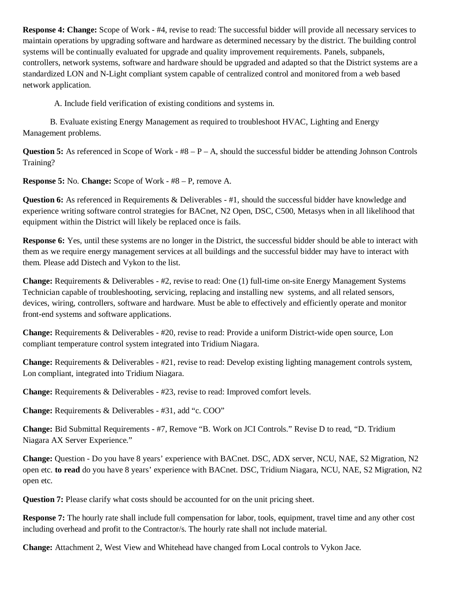**Response 4: Change:** Scope of Work - #4, revise to read: The successful bidder will provide all necessary services to maintain operations by upgrading software and hardware as determined necessary by the district. The building control systems will be continually evaluated for upgrade and quality improvement requirements. Panels, subpanels, controllers, network systems, software and hardware should be upgraded and adapted so that the District systems are a standardized LON and N-Light compliant system capable of centralized control and monitored from a web based network application.

A. Include field verification of existing conditions and systems in.

B. Evaluate existing Energy Management as required to troubleshoot HVAC, Lighting and Energy Management problems.

**Question 5:** As referenced in Scope of Work -  $#8 - P - A$ , should the successful bidder be attending Johnson Controls Training?

**Response 5:** No. **Change:** Scope of Work - #8 – P, remove A.

**Question 6:** As referenced in Requirements & Deliverables - #1, should the successful bidder have knowledge and experience writing software control strategies for BACnet, N2 Open, DSC, C500, Metasys when in all likelihood that equipment within the District will likely be replaced once is fails.

**Response 6:** Yes, until these systems are no longer in the District, the successful bidder should be able to interact with them as we require energy management services at all buildings and the successful bidder may have to interact with them. Please add Distech and Vykon to the list.

**Change:** Requirements & Deliverables - #2, revise to read: One (1) full-time on-site Energy Management Systems Technician capable of troubleshooting, servicing, replacing and installing new systems, and all related sensors, devices, wiring, controllers, software and hardware. Must be able to effectively and efficiently operate and monitor front-end systems and software applications.

**Change:** Requirements & Deliverables - #20, revise to read: Provide a uniform District-wide open source, Lon compliant temperature control system integrated into Tridium Niagara.

**Change:** Requirements & Deliverables - #21, revise to read: Develop existing lighting management controls system, Lon compliant, integrated into Tridium Niagara.

**Change:** Requirements & Deliverables - #23, revise to read: Improved comfort levels.

**Change:** Requirements & Deliverables - #31, add "c. COO"

**Change:** Bid Submittal Requirements - #7, Remove "B. Work on JCI Controls." Revise D to read, "D. Tridium Niagara AX Server Experience."

**Change:** Question - Do you have 8 years' experience with BACnet. DSC, ADX server, NCU, NAE, S2 Migration, N2 open etc. **to read** do you have 8 years' experience with BACnet. DSC, Tridium Niagara, NCU, NAE, S2 Migration, N2 open etc.

**Question 7:** Please clarify what costs should be accounted for on the unit pricing sheet.

**Response 7:** The hourly rate shall include full compensation for labor, tools, equipment, travel time and any other cost including overhead and profit to the Contractor/s. The hourly rate shall not include material.

**Change:** Attachment 2, West View and Whitehead have changed from Local controls to Vykon Jace.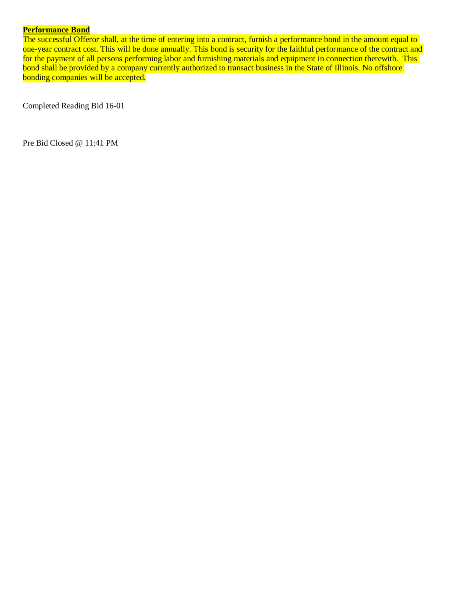### **Performance Bond**

The successful Offeror shall, at the time of entering into a contract, furnish a performance bond in the amount equal to one-year contract cost. This will be done annually. This bond is security for the faithful performance of the contract and for the payment of all persons performing labor and furnishing materials and equipment in connection therewith. This bond shall be provided by a company currently authorized to transact business in the State of Illinois. No offshore bonding companies will be accepted.

Completed Reading Bid 16-01

Pre Bid Closed @ 11:41 PM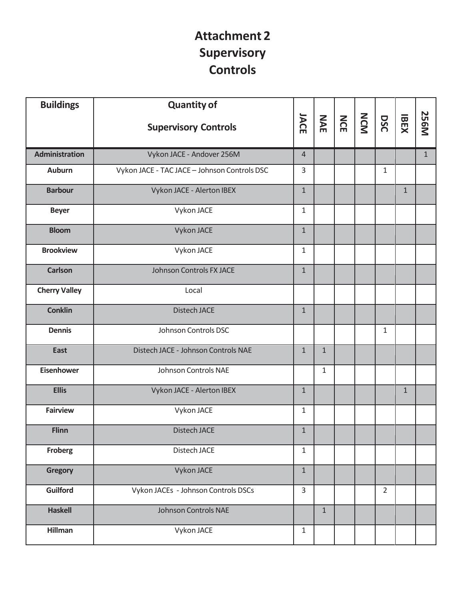### **Attachment 2 Supervisory Controls**

| <b>Buildings</b>      | <b>Quantity of</b>                           |                |              |     |            |                |              |              |
|-----------------------|----------------------------------------------|----------------|--------------|-----|------------|----------------|--------------|--------------|
|                       | <b>Supervisory Controls</b>                  | JACE           | NAE          | NCE | <b>NCM</b> | DSC            | <b>IBEX</b>  | <b>256M</b>  |
| <b>Administration</b> | Vykon JACE - Andover 256M                    | $\overline{4}$ |              |     |            |                |              | $\mathbf{1}$ |
| <b>Auburn</b>         | Vykon JACE - TAC JACE - Johnson Controls DSC | $\overline{3}$ |              |     |            | $\mathbf{1}$   |              |              |
| <b>Barbour</b>        | Vykon JACE - Alerton IBEX                    | $\mathbf{1}$   |              |     |            |                | $\mathbf{1}$ |              |
| <b>Beyer</b>          | Vykon JACE                                   | 1              |              |     |            |                |              |              |
| <b>Bloom</b>          | Vykon JACE                                   | $\mathbf{1}$   |              |     |            |                |              |              |
| <b>Brookview</b>      | Vykon JACE                                   | $\mathbf{1}$   |              |     |            |                |              |              |
| <b>Carlson</b>        | Johnson Controls FX JACE                     | $\mathbf{1}$   |              |     |            |                |              |              |
| <b>Cherry Valley</b>  | Local                                        |                |              |     |            |                |              |              |
| <b>Conklin</b>        | <b>Distech JACE</b>                          | $\mathbf{1}$   |              |     |            |                |              |              |
| <b>Dennis</b>         | Johnson Controls DSC                         |                |              |     |            | $\mathbf{1}$   |              |              |
| <b>East</b>           | Distech JACE - Johnson Controls NAE          | $\mathbf{1}$   | $\mathbf{1}$ |     |            |                |              |              |
| <b>Eisenhower</b>     | Johnson Controls NAE                         |                | 1            |     |            |                |              |              |
| <b>Ellis</b>          | Vykon JACE - Alerton IBEX                    | $\mathbf{1}$   |              |     |            |                | $\mathbf{1}$ |              |
| <b>Fairview</b>       | Vykon JACE                                   | $\mathbf{1}$   |              |     |            |                |              |              |
| <b>Flinn</b>          | <b>Distech JACE</b>                          | $\mathbf{1}$   |              |     |            |                |              |              |
| <b>Froberg</b>        | Distech JACE                                 | $\mathbf{1}$   |              |     |            |                |              |              |
| <b>Gregory</b>        | Vykon JACE                                   | $\mathbf{1}$   |              |     |            |                |              |              |
| <b>Guilford</b>       | Vykon JACEs - Johnson Controls DSCs          | $\mathbf{3}$   |              |     |            | $\overline{2}$ |              |              |
| <b>Haskell</b>        | <b>Johnson Controls NAE</b>                  |                | $\mathbf{1}$ |     |            |                |              |              |
| <b>Hillman</b>        | Vykon JACE                                   | $1\,$          |              |     |            |                |              |              |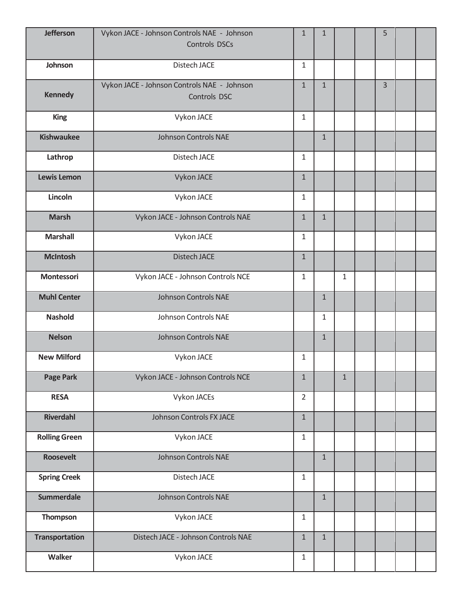| <b>Jefferson</b>      | Vykon JACE - Johnson Controls NAE - Johnson<br><b>Controls DSCs</b> | $\mathbf{1}$   | $\mathbf{1}$ |              | 5              |  |
|-----------------------|---------------------------------------------------------------------|----------------|--------------|--------------|----------------|--|
| Johnson               | Distech JACE                                                        | $\mathbf{1}$   |              |              |                |  |
| <b>Kennedy</b>        | Vykon JACE - Johnson Controls NAE - Johnson<br>Controls DSC         | $\mathbf{1}$   | $\mathbf{1}$ |              | $\overline{3}$ |  |
| <b>King</b>           | Vykon JACE                                                          | $\mathbf{1}$   |              |              |                |  |
| <b>Kishwaukee</b>     | <b>Johnson Controls NAE</b>                                         |                | $\mathbf{1}$ |              |                |  |
| Lathrop               | Distech JACE                                                        | $\mathbf{1}$   |              |              |                |  |
| <b>Lewis Lemon</b>    | Vykon JACE                                                          | $\mathbf{1}$   |              |              |                |  |
| Lincoln               | Vykon JACE                                                          | $\mathbf{1}$   |              |              |                |  |
| <b>Marsh</b>          | Vykon JACE - Johnson Controls NAE                                   | $\mathbf{1}$   | $\mathbf{1}$ |              |                |  |
| <b>Marshall</b>       | Vykon JACE                                                          | $\mathbf{1}$   |              |              |                |  |
| <b>McIntosh</b>       | <b>Distech JACE</b>                                                 | $\mathbf{1}$   |              |              |                |  |
| <b>Montessori</b>     | Vykon JACE - Johnson Controls NCE                                   | $\mathbf{1}$   |              | 1            |                |  |
| <b>Muhl Center</b>    | <b>Johnson Controls NAE</b>                                         |                | $\mathbf{1}$ |              |                |  |
| <b>Nashold</b>        | Johnson Controls NAE                                                |                | $\mathbf{1}$ |              |                |  |
| <b>Nelson</b>         | <b>Johnson Controls NAE</b>                                         |                | $\mathbf{1}$ |              |                |  |
| <b>New Milford</b>    | Vykon JACE                                                          | $\mathbf{1}$   |              |              |                |  |
| <b>Page Park</b>      | Vykon JACE - Johnson Controls NCE                                   | $\mathbf{1}$   |              | $\mathbf{1}$ |                |  |
| <b>RESA</b>           | Vykon JACEs                                                         | $\overline{2}$ |              |              |                |  |
| <b>Riverdahl</b>      | Johnson Controls FX JACE                                            | $\mathbf{1}$   |              |              |                |  |
| <b>Rolling Green</b>  | Vykon JACE                                                          | $\mathbf{1}$   |              |              |                |  |
| <b>Roosevelt</b>      | <b>Johnson Controls NAE</b>                                         |                | $\mathbf{1}$ |              |                |  |
| <b>Spring Creek</b>   | Distech JACE                                                        | $\mathbf{1}$   |              |              |                |  |
| <b>Summerdale</b>     | <b>Johnson Controls NAE</b>                                         |                | $\mathbf{1}$ |              |                |  |
| Thompson              | Vykon JACE                                                          | $\mathbf{1}$   |              |              |                |  |
| <b>Transportation</b> | Distech JACE - Johnson Controls NAE                                 | $\mathbf{1}$   | $\mathbf{1}$ |              |                |  |
| Walker                | Vykon JACE                                                          | $\mathbf{1}$   |              |              |                |  |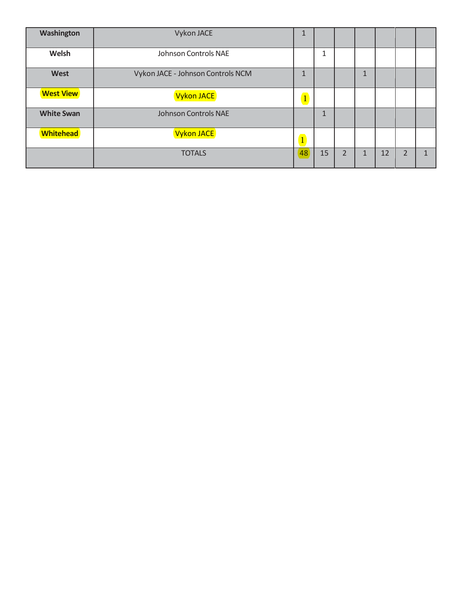| Washington        | Vykon JACE                        | ш                       |              |                |              |    |   |  |
|-------------------|-----------------------------------|-------------------------|--------------|----------------|--------------|----|---|--|
| Welsh             | Johnson Controls NAE              |                         | 1            |                |              |    |   |  |
| West              | Vykon JACE - Johnson Controls NCM | $\mathbf{1}$            |              |                | 1            |    |   |  |
| <b>West View</b>  | Vykon JACE                        | $\vert 1 \vert$         |              |                |              |    |   |  |
| <b>White Swan</b> | <b>Johnson Controls NAE</b>       |                         | $\mathbf{1}$ |                |              |    |   |  |
| <b>Whitehead</b>  | Vykon JACE                        | $\overline{\mathbf{1}}$ |              |                |              |    |   |  |
|                   | <b>TOTALS</b>                     | 48                      | 15           | $\overline{2}$ | $\mathbf{1}$ | 12 | ำ |  |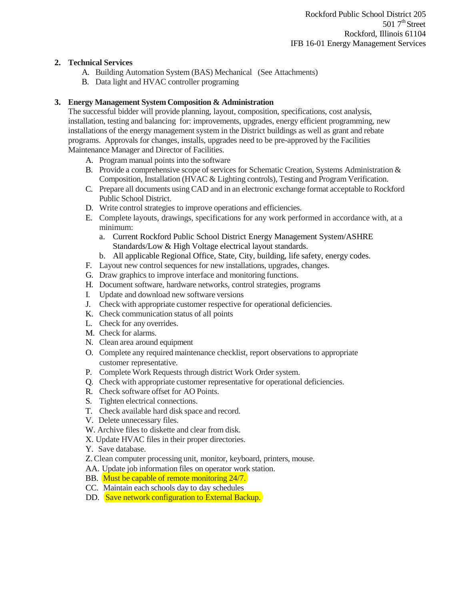### **2. Technical Services**

- A. Building Automation System (BAS) Mechanical (See Attachments)
- B. Data light and HVAC controller programing

### **3. Energy Management System Composition & Administration**

The successful bidder will provide planning, layout, composition, specifications, cost analysis, installation, testing and balancing for: improvements, upgrades, energy efficient programming, new installations of the energy management system in the District buildings as well as grant and rebate programs. Approvals for changes, installs, upgrades need to be pre-approved by the Facilities Maintenance Manager and Director of Facilities.

- A. Program manual points into the software
- B. Provide a comprehensive scope of services for Schematic Creation, Systems Administration & Composition, Installation (HVAC & Lighting controls), Testing and Program Verification.
- C. Prepare all documents using CAD and in an electronic exchange format acceptable to Rockford Public School District.
- D. Write control strategies to improve operations and efficiencies.
- E. Complete layouts, drawings, specifications for any work performed in accordance with, at a minimum:
	- a. Current Rockford Public School District Energy Management System/ASHRE Standards/Low & High Voltage electrical layout standards.
	- b. All applicable Regional Office, State, City, building, life safety, energy codes.
- F. Layout new control sequences for new installations, upgrades, changes.
- G. Draw graphics to improve interface and monitoring functions.
- H. Document software, hardware networks, control strategies, programs
- I. Update and download new software versions
- J. Check with appropriate customer respective for operational deficiencies.
- K. Check communication status of all points
- L. Check for any overrides.
- M. Check for alarms.
- N. Clean area around equipment
- O. Complete any required maintenance checklist, report observations to appropriate customer representative.
- P. Complete Work Requests through district Work Order system.
- Q. Check with appropriate customer representative for operational deficiencies.
- R. Check software offset for AO Points.
- S. Tighten electrical connections.
- T. Check available hard disk space and record.
- V. Delete unnecessary files.
- W. Archive files to diskette and clear from disk.
- X. Update HVAC files in their proper directories.
- Y. Save database.
- Z. Clean computer processing unit, monitor, keyboard, printers, mouse.
- AA. Update job information files on operator work station.
- BB. Must be capable of remote monitoring 24/7.
- CC. Maintain each schools day to day schedules
- DD. Save network configuration to External Backup.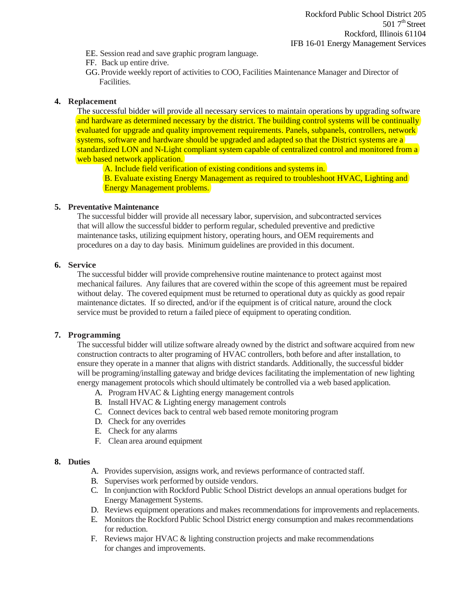- EE. Session read and save graphic program language.
- FF. Back up entire drive.
- GG. Provide weekly report of activities to COO, Facilities Maintenance Manager and Director of Facilities.

### **4. Replacement**

The successful bidder will provide all necessary services to maintain operations by upgrading software and hardware as determined necessary by the district. The building control systems will be continually evaluated for upgrade and quality improvement requirements. Panels, subpanels, controllers, network systems, software and hardware should be upgraded and adapted so that the District systems are a standardized LON and N-Light compliant system capable of centralized control and monitored from a web based network application.

A. Include field verification of existing conditions and systems in.

B. Evaluate existing Energy Management as required to troubleshoot HVAC, Lighting and Energy Management problems.

### **5. Preventative Maintenance**

The successful bidder will provide all necessary labor, supervision, and subcontracted services that will allow the successful bidder to perform regular, scheduled preventive and predictive maintenance tasks, utilizing equipment history, operating hours, and OEM requirements and procedures on a day to day basis. Minimum guidelines are provided in this document.

### **6. Service**

The successful bidder will provide comprehensive routine maintenance to protect against most mechanical failures. Any failures that are covered within the scope of this agreement must be repaired without delay. The covered equipment must be returned to operational duty as quickly as good repair maintenance dictates. If so directed, and/or if the equipment is of critical nature, around the clock service must be provided to return a failed piece of equipment to operating condition.

### **7. Programming**

The successful bidder will utilize software already owned by the district and software acquired from new construction contracts to alter programing of HVAC controllers, both before and after installation, to ensure they operate in a manner that aligns with district standards. Additionally, the successful bidder will be programing/installing gateway and bridge devices facilitating the implementation of new lighting energy management protocols which should ultimately be controlled via a web based application.

- A. Program HVAC & Lighting energy management controls
- B. Install HVAC & Lighting energy management controls
- C. Connect devices back to central web based remote monitoring program
- D. Check for any overrides
- E. Check for any alarms
- F. Clean area around equipment

### **8. Duties**

- A. Provides supervision, assigns work, and reviews performance of contracted staff.
- B. Supervises work performed by outside vendors.
- C. In conjunction with Rockford Public School District develops an annual operations budget for Energy Management Systems.
- D. Reviews equipment operations and makes recommendations for improvements and replacements.
- E. Monitors the Rockford Public School District energy consumption and makes recommendations for reduction.
- F. Reviews major HVAC & lighting construction projects and make recommendations for changes and improvements.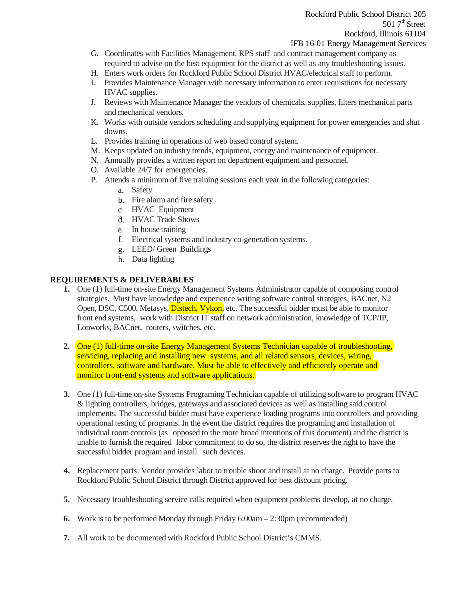- G. Coordinates with Facilities Management, RPS staff and contract management company as required to advise on the best equipment for the district as well as any troubleshooting issues.
- H. Enters work orders for Rockford Public School District HVAC/electrical staff to perform.
- I. Provides Maintenance Manager with necessary information to enter requisitions for necessary HVAC supplies.
- J. Reviews with Maintenance Manager the vendors of chemicals, supplies, filters mechanical parts and mechanical vendors.
- K. Works with outside vendors scheduling and supplying equipment for power emergencies and shut downs.
- L. Provides training in operations of web based control system.
- M. Keeps updated on industry trends, equipment, energy and maintenance of equipment.
- N. Annually provides a written report on department equipment and personnel.
- O. Available 24/7 for emergencies.
- P. Attends a minimum of five training sessions each year in the following categories:
	- a. Safety
	- b. Fire alarm and fire safety
	- c. HVAC Equipment
	- d. HVAC Trade Shows
	- e. In house training
	- f. Electrical systems and industry co-generation systems.
	- g. LEED/ Green Buildings
	- h. Data lighting

### **REQUIREMENTS & DELIVERABLES**

- **1.** One (1) full-time on-site Energy Management Systems Administrator capable of composing control strategies. Must have knowledge and experience writing software control strategies, BACnet, N2 Open, DSC, C500, Metasys, Distech, Vykon, etc. The successful bidder must be able to monitor front end systems, work with District IT staff on network administration, knowledge of TCP/IP, Lonworks, BACnet, routers, switches, etc.
- **2.** One (1) full-time on-site Energy Management Systems Technician capable of troubleshooting, servicing, replacing and installing new systems, and all related sensors, devices, wiring, controllers, software and hardware. Must be able to effectively and efficiently operate and monitor front-end systems and software applications.
- **3.** One (1) full-time on-site Systems Programing Technician capable of utilizing software to program HVAC & lighting controllers, bridges, gateways and associated devices as well as installing said control implements. The successful bidder must have experience loading programs into controllers and providing operational testing of programs. In the event the district requires the programing and installation of individual room controls (as opposed to the more broad intentions of this document) and the district is unable to furnish the required labor commitment to do so, the district reserves the right to have the successful bidder program and install such devices.
- **4.** Replacement parts: Vendor provides labor to trouble shoot and install at no charge. Provide parts to Rockford Public School District through District approved for best discount pricing.
- **5.** Necessary troubleshooting service calls required when equipment problems develop, at no charge.
- **6.** Work is to be performed Monday through Friday 6:00am 2:30pm (recommended)
- **7.** All work to be documented with Rockford Public School District's CMMS.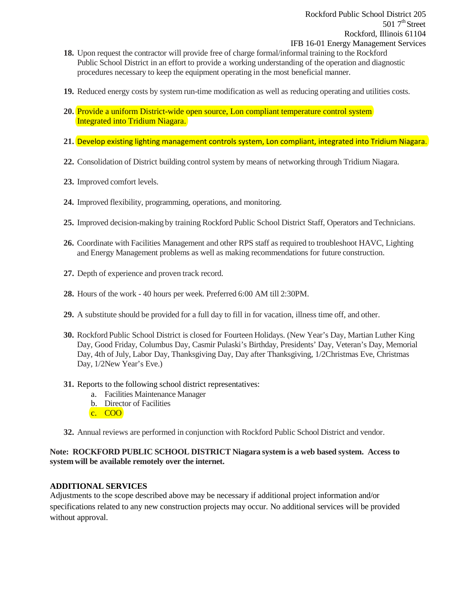- **19.** Reduced energy costs by system run-time modification as well as reducing operating and utilities costs.
- **20.** Provide a uniform District-wide open source, Lon compliant temperature control system Integrated into Tridium Niagara.
- **21.** Develop existing lighting management controls system, Lon compliant, integrated into Tridium Niagara.
- **22.** Consolidation of District building control system by means of networking through Tridium Niagara.
- **23.** Improved comfort levels.
- **24.** Improved flexibility, programming, operations, and monitoring.
- **25.** Improved decision-making by training Rockford Public School District Staff, Operators and Technicians.
- **26.** Coordinate with Facilities Management and other RPS staff as required to troubleshoot HAVC, Lighting and Energy Management problems as well as making recommendations for future construction.
- **27.** Depth of experience and proven track record.
- **28.** Hours of the work 40 hours per week. Preferred 6:00 AM till 2:30PM.
- **29.** A substitute should be provided for a full day to fill in for vacation, illness time off, and other.
- **30.** Rockford Public School District is closed for Fourteen Holidays. (New Year's Day, Martian Luther King Day, Good Friday, Columbus Day, Casmir Pulaski's Birthday, Presidents' Day, Veteran's Day, Memorial Day, 4th of July, Labor Day, Thanksgiving Day, Day after Thanksgiving, 1/2Christmas Eve, Christmas Day, 1/2New Year's Eve.)
- **31.** Reports to the following school district representatives:
	- a. Facilities Maintenance Manager
	- b. Director of Facilities
	- c. COO
- **32.** Annual reviews are performed in conjunction with Rockford Public School District and vendor.

### **Note: ROCKFORD PUBLIC SCHOOL DISTRICT Niagara system is a web based system. Access to system will be available remotely over the internet.**

### **ADDITIONAL SERVICES**

Adjustments to the scope described above may be necessary if additional project information and/or specifications related to any new construction projects may occur. No additional services will be provided without approval.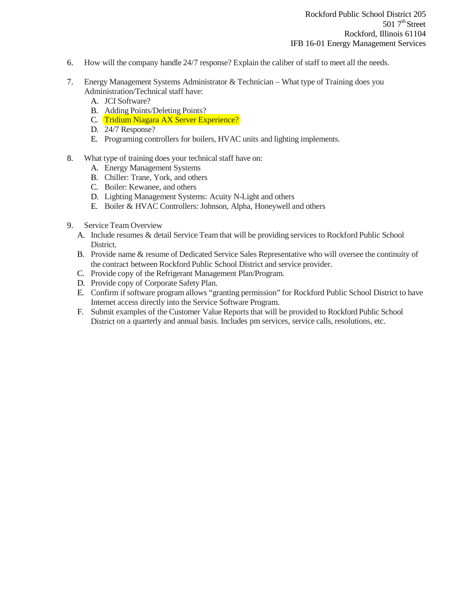- 6. How will the company handle 24/7 response? Explain the caliber of staff to meet all the needs.
- 7. Energy Management Systems Administrator & Technician What type of Training does you Administration/Technical staff have:
	- A. JCI Software?
	- B. Adding Points/Deleting Points?
	- C. Tridium Niagara AX Server Experience?
	- D. 24/7 Response?
	- E. Programing controllers for boilers, HVAC units and lighting implements.
- 8. What type of training does your technical staff have on:
	- A. Energy Management Systems
	- B. Chiller: Trane, York, and others
	- C. Boiler: Kewanee, and others
	- D. Lighting Management Systems: Acuity N-Light and others
	- E. Boiler & HVAC Controllers: Johnson, Alpha, Honeywell and others
- 9. Service Team Overview
	- A. Include resumes & detail Service Team that will be providing services to Rockford Public School District.
	- B. Provide name & resume of Dedicated Service Sales Representative who will oversee the continuity of the contract between Rockford Public School District and service provider.
	- C. Provide copy of the Refrigerant Management Plan/Program.
	- D. Provide copy of Corporate Safety Plan.
	- E. Confirm if software program allows "granting permission" for Rockford Public School District to have Internet access directly into the Service Software Program.
	- F. Submit examples of the Customer Value Reports that will be provided to Rockford Public School District on a quarterly and annual basis. Includes pm services, service calls, resolutions, etc.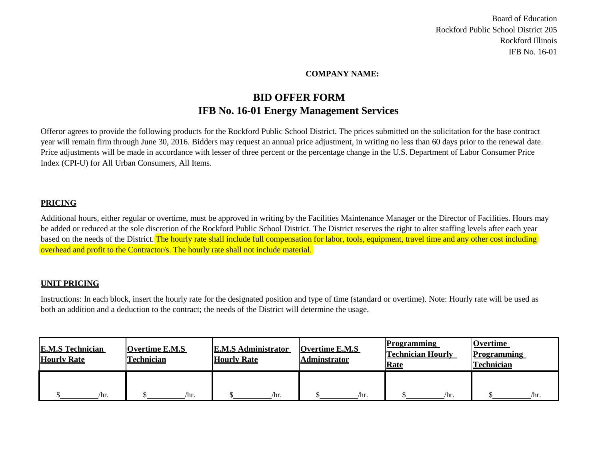### **COMPANY NAME:**

### **BID OFFER FORM IFB No. 16-01 Energy Management Services**

Offeror agrees to provide the following products for the Rockford Public School District. The prices submitted on the solicitation for the base contract year will remain firm through June 30, 2016. Bidders may request an annual price adjustment, in writing no less than 60 days prior to the renewal date. Price adjustments will be made in accordance with lesser of three percent or the percentage change in the U.S. Department of Labor Consumer Price Index (CPI-U) for All Urban Consumers, All Items.

### **PRICING**

Additional hours, either regular or overtime, must be approved in writing by the Facilities Maintenance Manager or the Director of Facilities. Hours may be added or reduced at the sole discretion of the Rockford Public School District. The District reserves the right to alter staffing levels after each year based on the needs of the District. The hourly rate shall include full compensation for labor, tools, equipment, travel time and any other cost including overhead and profit to the Contractor/s. The hourly rate shall not include material.

### **UNIT PRICING**

Instructions: In each block, insert the hourly rate for the designated position and type of time (standard or overtime). Note: Hourly rate will be used as both an addition and a deduction to the contract; the needs of the District will determine the usage.

| <b>E.M.S Technician</b><br><b>Hourly Rate</b> | <b>Overtime E.M.S</b><br><b>Technician</b> | <b>E.M.S Administrator</b><br><b>Hourly Rate</b> | <b>Overtime E.M.S</b><br><b>Adminstrator</b> | <b>Programming</b><br><b>Technician Hourly</b><br><b>Rate</b> | <b>Overtime</b><br><b>Programming</b><br><b>Technician</b> |
|-----------------------------------------------|--------------------------------------------|--------------------------------------------------|----------------------------------------------|---------------------------------------------------------------|------------------------------------------------------------|
| /hr.                                          | /hr.                                       | /hr.                                             | /hr.                                         | /hr.                                                          | /hr.                                                       |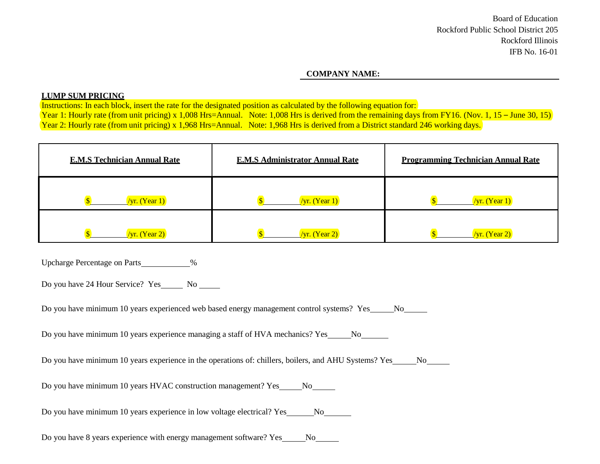### **COMPANY NAME:**

### **LUMP SUM PRICING**

Instructions: In each block, insert the rate for the designated position as calculated by the following equation for: Year 1: Hourly rate (from unit pricing) x 1,008 Hrs=Annual. Note: 1,008 Hrs is derived from the remaining days from FY16. (Nov. 1, 15 – June 30, 15) Year 2: Hourly rate (from unit pricing) x 1,968 Hrs=Annual. Note: 1,968 Hrs is derived from a District standard 246 working days.

| <b>E.M.S Technician Annual Rate</b> | <b>E.M.S Administrator Annual Rate</b> | <b>Programming Technician Annual Rate</b> |
|-------------------------------------|----------------------------------------|-------------------------------------------|
| $\sqrt{yr}$ . (Year 1)              | $/yr.$ (Year 1)                        | $/yr.$ (Year 1)                           |
| $/yr.$ (Year 2)                     | $/yr.$ (Year 2)                        | $\sqrt{yr}$ . (Year 2)                    |

Upcharge Percentage on Parts 1998

Do you have 24 Hour Service? Yes No

Do you have minimum 10 years experienced web based energy management control systems? Yes No

Do you have minimum 10 years experience managing a staff of HVA mechanics? Yes No

Do you have minimum 10 years experience in the operations of: chillers, boilers, and AHU Systems? Yes No

Do you have minimum 10 years HVAC construction management? Yes No

Do you have minimum 10 years experience in low voltage electrical? Yes No No No

Do you have 8 years experience with energy management software? Yes No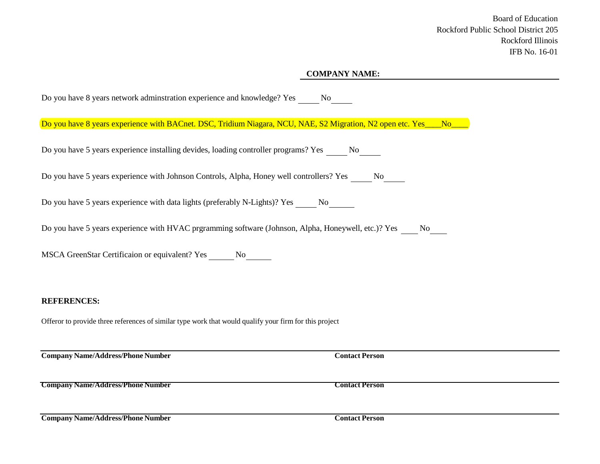### **COMPANY NAME:**

| Do you have 8 years network adminstration experience and knowledge? Yes No                                         |                       |
|--------------------------------------------------------------------------------------------------------------------|-----------------------|
| Do you have 8 years experience with BACnet. DSC, Tridium Niagara, NCU, NAE, S2 Migration, N2 open etc. Yes___No___ |                       |
| Do you have 5 years experience installing devides, loading controller programs? Yes ______ No______                |                       |
| Do you have 5 years experience with Johnson Controls, Alpha, Honey well controllers? Yes No                        |                       |
| Do you have 5 years experience with data lights (preferably N-Lights)? Yes ______ No_______                        |                       |
| Do you have 5 years experience with HVAC prgramming software (Johnson, Alpha, Honeywell, etc.)? Yes _____ No____   |                       |
| MSCA GreenStar Certificaion or equivalent? Yes _______ No_______                                                   |                       |
|                                                                                                                    |                       |
| <b>REFERENCES:</b>                                                                                                 |                       |
| Offeror to provide three references of similar type work that would qualify your firm for this project             |                       |
| <b>Company Name/Address/Phone Number</b>                                                                           | <b>Contact Person</b> |
| <b>Company Name/Address/Phone Number</b>                                                                           | <b>Contact Person</b> |
| <b>Company Name/Address/Phone Number</b>                                                                           | <b>Contact Person</b> |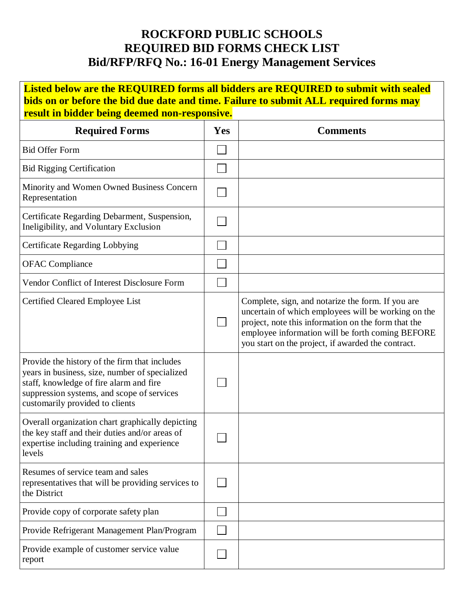### **ROCKFORD PUBLIC SCHOOLS REQUIRED BID FORMS CHECK LIST Bid/RFP/RFQ No.: 16-01 Energy Management Services**

**Listed below are the REQUIRED forms all bidders are REQUIRED to submit with sealed bids on or before the bid due date and time. Failure to submit ALL required forms may result in bidder being deemed non-responsive. Required Forms Yes Comments**  $\Box$ Bid Offer Form  $\Box$ Bid Rigging Certification Minority and Women Owned Business Concern  $\Box$ Representation Certificate Regarding Debarment, Suspension,  $\Box$ Ineligibility, and Voluntary Exclusion П Certificate Regarding Lobbying  $\Box$ OFAC Compliance Vendor Conflict of Interest Disclosure Form  $\Box$ Certified Cleared Employee List Complete, sign, and notarize the form. If you are uncertain of which employees will be working on the П project, note this information on the form that the employee information will be forth coming BEFORE you start on the project, if awarded the contract. Provide the history of the firm that includes years in business, size, number of specialized staff, knowledge of fire alarm and fire  $\Box$ suppression systems, and scope of services customarily provided to clients Overall organization chart graphically depicting the key staff and their duties and/or areas of  $\Box$ expertise including training and experience levels Resumes of service team and sales  $\Box$ representatives that will be providing services to the District  $\Box$ Provide copy of corporate safety plan  $\Box$ Provide Refrigerant Management Plan/Program Provide example of customer service value  $\Box$ report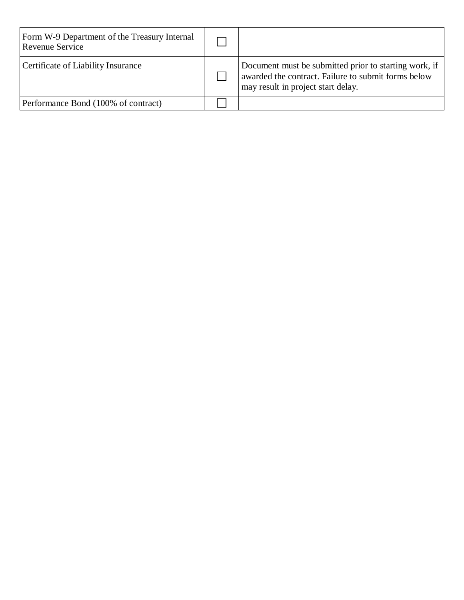| Form W-9 Department of the Treasury Internal<br>Revenue Service |                                                                                                                                                    |
|-----------------------------------------------------------------|----------------------------------------------------------------------------------------------------------------------------------------------------|
| Certificate of Liability Insurance                              | Document must be submitted prior to starting work, if<br>awarded the contract. Failure to submit forms below<br>may result in project start delay. |
| Performance Bond (100% of contract)                             |                                                                                                                                                    |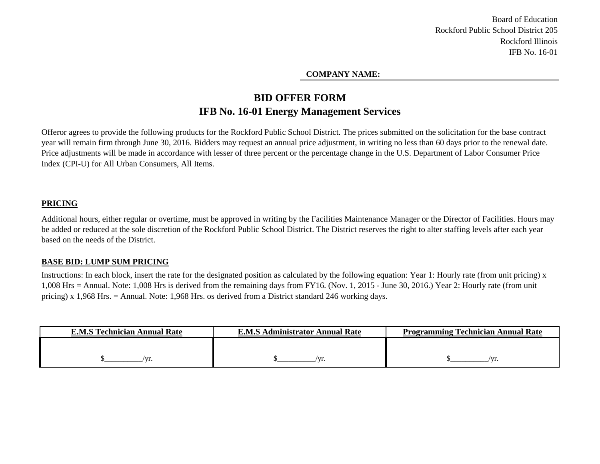### **COMPANY NAME:**

### **IFB No. 16-01 Energy Management Services BID OFFER FORM**

Offeror agrees to provide the following products for the Rockford Public School District. The prices submitted on the solicitation for the base contract year will remain firm through June 30, 2016. Bidders may request an annual price adjustment, in writing no less than 60 days prior to the renewal date. Price adjustments will be made in accordance with lesser of three percent or the percentage change in the U.S. Department of Labor Consumer Price Index (CPI-U) for All Urban Consumers, All Items.

### **PRICING**

Additional hours, either regular or overtime, must be approved in writing by the Facilities Maintenance Manager or the Director of Facilities. Hours may be added or reduced at the sole discretion of the Rockford Public School District. The District reserves the right to alter staffing levels after each year based on the needs of the District.

### **BASE BID: LUMP SUM PRICING**

Instructions: In each block, insert the rate for the designated position as calculated by the following equation: Year 1: Hourly rate (from unit pricing) x 1,008 Hrs = Annual. Note: 1,008 Hrs is derived from the remaining days from FY16. (Nov. 1, 2015 - June 30, 2016.) Year 2: Hourly rate (from unit pricing) x 1,968 Hrs. = Annual. Note: 1,968 Hrs. os derived from a District standard 246 working days.

| <b>E.M.S Technician Annual Rate</b> | <b>E.M.S Administrator Annual Rate</b> | <b>Programming Technician Annual Rate</b> |
|-------------------------------------|----------------------------------------|-------------------------------------------|
|                                     |                                        |                                           |
|                                     |                                        |                                           |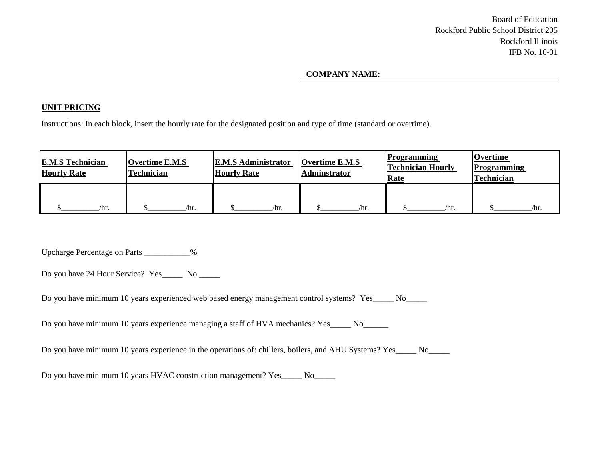### **COMPANY NAME:**

### **UNIT PRICING**

Instructions: In each block, insert the hourly rate for the designated position and type of time (standard or overtime).

| <b>E.M.S Technician</b><br><b>Hourly Rate</b> | <b>Overtime E.M.S</b><br>Technician | <b>E.M.S Administrator</b><br><b>Hourly Rate</b> | <b>Overtime E.M.S</b><br><b>Adminstrator</b> | <b>Programming</b><br><b>Technician Hourly</b><br>Rate | <b>Overtime</b><br><b>Programming</b><br>Technician |
|-----------------------------------------------|-------------------------------------|--------------------------------------------------|----------------------------------------------|--------------------------------------------------------|-----------------------------------------------------|
| $\ln$ .                                       | $\ln r$ .                           | $\ln$ .                                          | /hr.                                         | /hr.                                                   | /hr.                                                |

Upcharge Percentage on Parts \_\_\_\_\_\_\_\_\_\_\_%

Do you have 24 Hour Service? Yes\_\_\_\_\_ No \_\_\_\_\_

Do you have minimum 10 years experienced web based energy management control systems? Yes\_\_\_\_\_ No\_\_\_\_\_

Do you have minimum 10 years experience managing a staff of HVA mechanics? Yes\_\_\_\_\_ No\_\_\_\_\_\_

Do you have minimum 10 years experience in the operations of: chillers, boilers, and AHU Systems? Yes\_\_\_\_\_\_ No

Do you have minimum 10 years HVAC construction management? Yes\_\_\_\_\_ No\_\_\_\_\_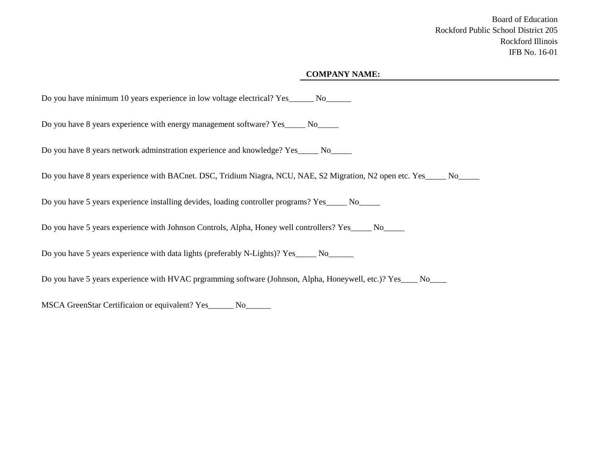### **COMPANY NAME:**

Do you have minimum 10 years experience in low voltage electrical? Yes\_\_\_\_\_\_\_ No\_\_\_\_\_\_\_

Do you have 8 years experience with energy management software? Yes\_\_\_\_\_ No\_\_\_\_\_

Do you have 8 years network adminstration experience and knowledge? Yes\_\_\_\_\_ No\_\_\_\_\_

Do you have 8 years experience with BACnet. DSC, Tridium Niagra, NCU, NAE, S2 Migration, N2 open etc. Yes\_\_\_\_ No\_\_\_\_

Do you have 5 years experience installing devides, loading controller programs? Yes\_\_\_\_\_ No\_\_\_\_\_

Do you have 5 years experience with Johnson Controls, Alpha, Honey well controllers? Yes\_\_\_\_\_ No\_\_\_\_\_

Do you have 5 years experience with data lights (preferably N-Lights)? Yes\_\_\_\_\_ No\_\_\_\_\_\_

Do you have 5 years experience with HVAC prgramming software (Johnson, Alpha, Honeywell, etc.)? Yes\_\_\_\_ No\_\_\_\_

MSCA GreenStar Certificaion or equivalent? Yes\_\_\_\_\_\_ No\_\_\_\_\_\_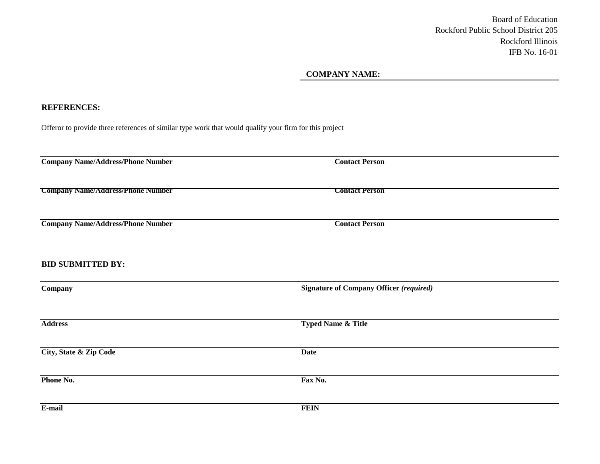### **COMPANY NAME:**

### **REFERENCES:**

Offeror to provide three references of similar type work that would qualify your firm for this project

| <b>Company Name/Address/Phone Number</b> | <b>Contact Person</b>                          |  |
|------------------------------------------|------------------------------------------------|--|
| <b>Company Name/Address/Phone Number</b> | <b>Contact Person</b>                          |  |
| <b>Company Name/Address/Phone Number</b> | <b>Contact Person</b>                          |  |
| <b>BID SUBMITTED BY:</b>                 |                                                |  |
| Company                                  | <b>Signature of Company Officer (required)</b> |  |
| <b>Address</b>                           | Typed Name & Title                             |  |
| City, State & Zip Code                   | <b>Date</b>                                    |  |
| Phone No.                                | Fax No.                                        |  |
| E-mail                                   | <b>FEIN</b>                                    |  |